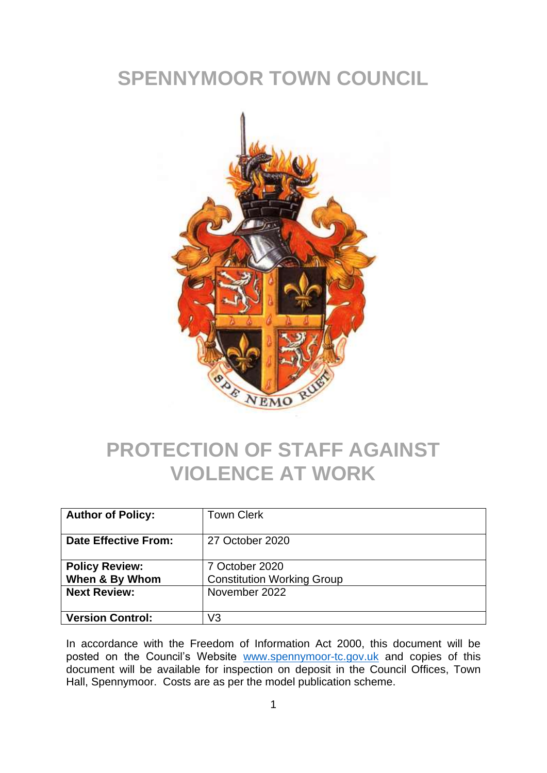## **SPENNYMOOR TOWN COUNCIL**



## **PROTECTION OF STAFF AGAINST VIOLENCE AT WORK**

| <b>Author of Policy:</b>                                       | <b>Town Clerk</b>                                                    |
|----------------------------------------------------------------|----------------------------------------------------------------------|
| <b>Date Effective From:</b>                                    | 27 October 2020                                                      |
| <b>Policy Review:</b><br>When & By Whom<br><b>Next Review:</b> | 7 October 2020<br><b>Constitution Working Group</b><br>November 2022 |
|                                                                |                                                                      |
| <b>Version Control:</b>                                        | V3                                                                   |

In accordance with the Freedom of Information Act 2000, this document will be posted on the Council's Website [www.spennymoor-tc.gov.uk](http://www.spennymoor-tc.gov.uk/) and copies of this document will be available for inspection on deposit in the Council Offices, Town Hall, Spennymoor. Costs are as per the model publication scheme.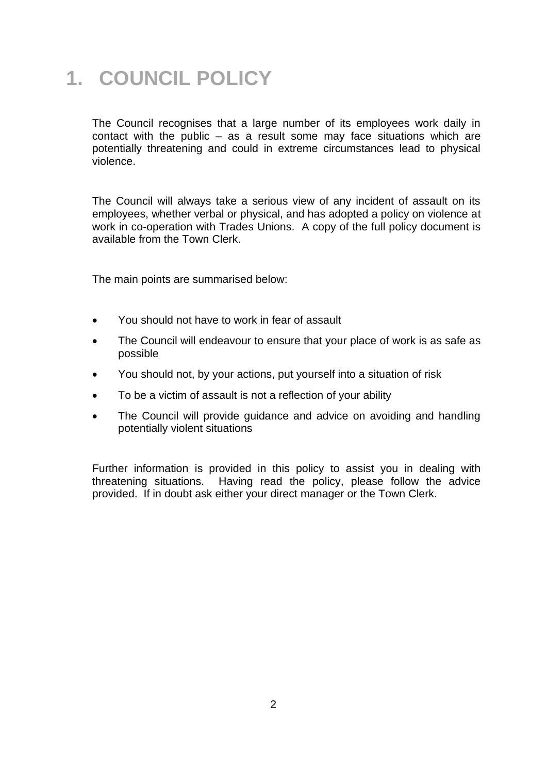## **1. COUNCIL POLICY**

The Council recognises that a large number of its employees work daily in contact with the public – as a result some may face situations which are potentially threatening and could in extreme circumstances lead to physical violence.

The Council will always take a serious view of any incident of assault on its employees, whether verbal or physical, and has adopted a policy on violence at work in co-operation with Trades Unions. A copy of the full policy document is available from the Town Clerk.

The main points are summarised below:

- You should not have to work in fear of assault
- The Council will endeavour to ensure that your place of work is as safe as possible
- You should not, by your actions, put yourself into a situation of risk
- To be a victim of assault is not a reflection of your ability
- The Council will provide guidance and advice on avoiding and handling potentially violent situations

Further information is provided in this policy to assist you in dealing with threatening situations. Having read the policy, please follow the advice provided. If in doubt ask either your direct manager or the Town Clerk.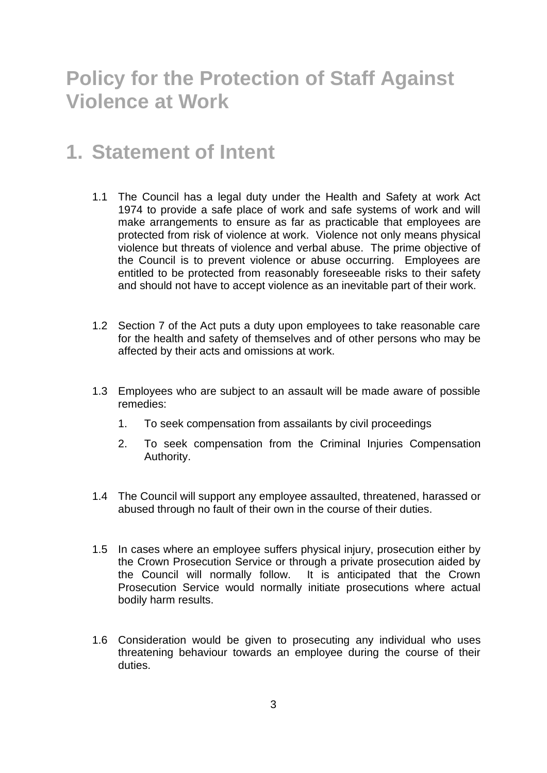### **Policy for the Protection of Staff Against Violence at Work**

#### **1. Statement of Intent**

- 1.1 The Council has a legal duty under the Health and Safety at work Act 1974 to provide a safe place of work and safe systems of work and will make arrangements to ensure as far as practicable that employees are protected from risk of violence at work. Violence not only means physical violence but threats of violence and verbal abuse. The prime objective of the Council is to prevent violence or abuse occurring. Employees are entitled to be protected from reasonably foreseeable risks to their safety and should not have to accept violence as an inevitable part of their work.
- 1.2 Section 7 of the Act puts a duty upon employees to take reasonable care for the health and safety of themselves and of other persons who may be affected by their acts and omissions at work.
- 1.3 Employees who are subject to an assault will be made aware of possible remedies:
	- 1. To seek compensation from assailants by civil proceedings
	- 2. To seek compensation from the Criminal Injuries Compensation Authority.
- 1.4 The Council will support any employee assaulted, threatened, harassed or abused through no fault of their own in the course of their duties.
- 1.5 In cases where an employee suffers physical injury, prosecution either by the Crown Prosecution Service or through a private prosecution aided by the Council will normally follow. It is anticipated that the Crown Prosecution Service would normally initiate prosecutions where actual bodily harm results.
- 1.6 Consideration would be given to prosecuting any individual who uses threatening behaviour towards an employee during the course of their duties.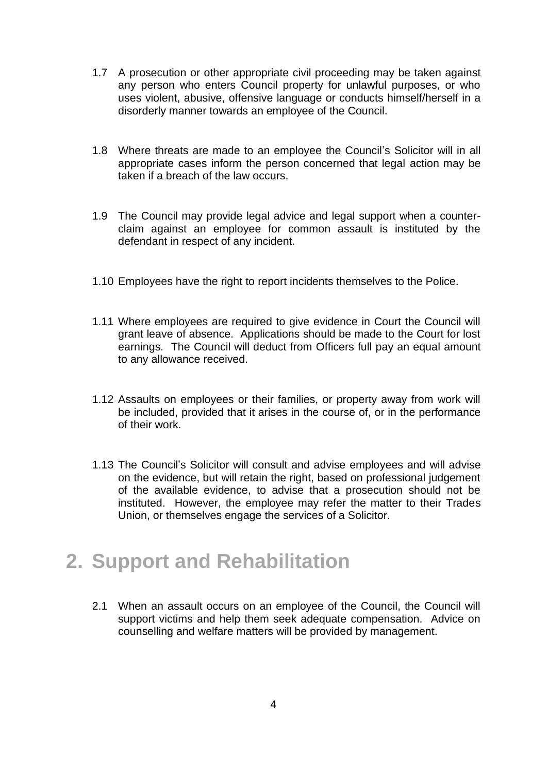- 1.7 A prosecution or other appropriate civil proceeding may be taken against any person who enters Council property for unlawful purposes, or who uses violent, abusive, offensive language or conducts himself/herself in a disorderly manner towards an employee of the Council.
- 1.8 Where threats are made to an employee the Council's Solicitor will in all appropriate cases inform the person concerned that legal action may be taken if a breach of the law occurs.
- 1.9 The Council may provide legal advice and legal support when a counterclaim against an employee for common assault is instituted by the defendant in respect of any incident.
- 1.10 Employees have the right to report incidents themselves to the Police.
- 1.11 Where employees are required to give evidence in Court the Council will grant leave of absence. Applications should be made to the Court for lost earnings. The Council will deduct from Officers full pay an equal amount to any allowance received.
- 1.12 Assaults on employees or their families, or property away from work will be included, provided that it arises in the course of, or in the performance of their work.
- 1.13 The Council's Solicitor will consult and advise employees and will advise on the evidence, but will retain the right, based on professional judgement of the available evidence, to advise that a prosecution should not be instituted. However, the employee may refer the matter to their Trades Union, or themselves engage the services of a Solicitor.

#### **2. Support and Rehabilitation**

2.1 When an assault occurs on an employee of the Council, the Council will support victims and help them seek adequate compensation. Advice on counselling and welfare matters will be provided by management.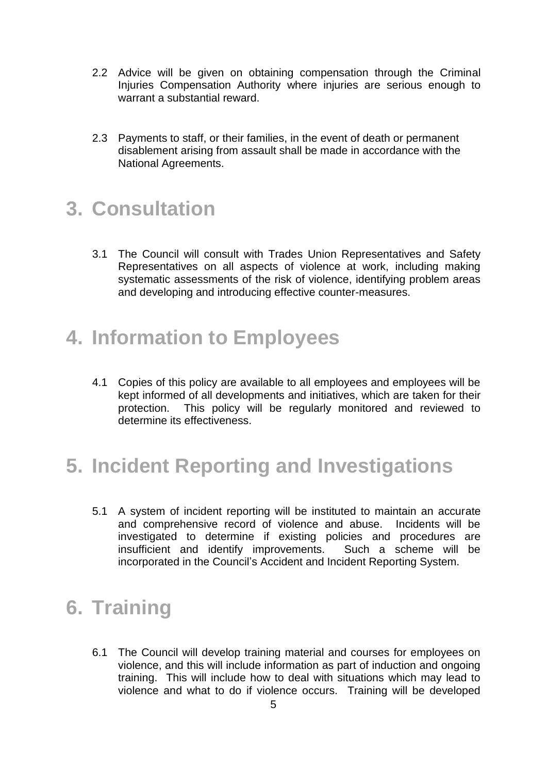- 2.2 Advice will be given on obtaining compensation through the Criminal Injuries Compensation Authority where injuries are serious enough to warrant a substantial reward.
- 2.3 Payments to staff, or their families, in the event of death or permanent disablement arising from assault shall be made in accordance with the National Agreements.

#### **3. Consultation**

3.1 The Council will consult with Trades Union Representatives and Safety Representatives on all aspects of violence at work, including making systematic assessments of the risk of violence, identifying problem areas and developing and introducing effective counter-measures.

#### **4. Information to Employees**

4.1 Copies of this policy are available to all employees and employees will be kept informed of all developments and initiatives, which are taken for their protection. This policy will be regularly monitored and reviewed to determine its effectiveness.

## **5. Incident Reporting and Investigations**

5.1 A system of incident reporting will be instituted to maintain an accurate and comprehensive record of violence and abuse. Incidents will be investigated to determine if existing policies and procedures are insufficient and identify improvements. Such a scheme will be incorporated in the Council's Accident and Incident Reporting System.

#### **6. Training**

6.1 The Council will develop training material and courses for employees on violence, and this will include information as part of induction and ongoing training. This will include how to deal with situations which may lead to violence and what to do if violence occurs. Training will be developed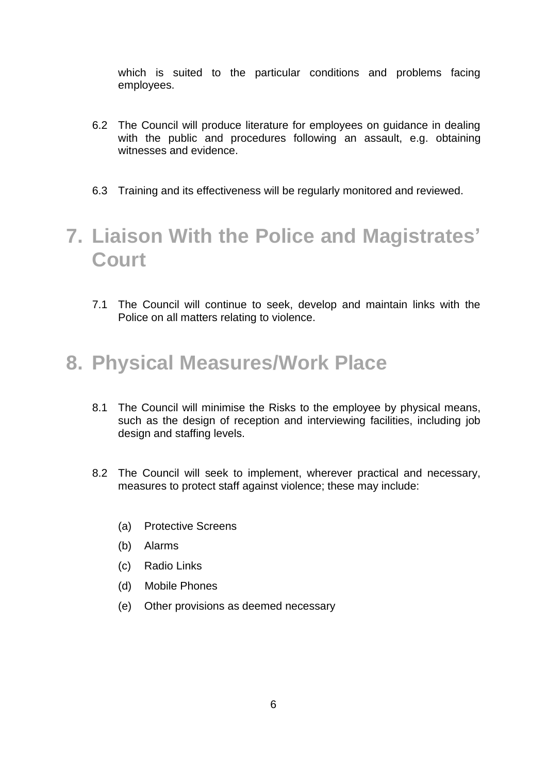which is suited to the particular conditions and problems facing employees.

- 6.2 The Council will produce literature for employees on guidance in dealing with the public and procedures following an assault, e.g. obtaining witnesses and evidence.
- 6.3 Training and its effectiveness will be regularly monitored and reviewed.

## **7. Liaison With the Police and Magistrates' Court**

7.1 The Council will continue to seek, develop and maintain links with the Police on all matters relating to violence.

#### **8. Physical Measures/Work Place**

- 8.1 The Council will minimise the Risks to the employee by physical means, such as the design of reception and interviewing facilities, including job design and staffing levels.
- 8.2 The Council will seek to implement, wherever practical and necessary, measures to protect staff against violence; these may include:
	- (a) Protective Screens
	- (b) Alarms
	- (c) Radio Links
	- (d) Mobile Phones
	- (e) Other provisions as deemed necessary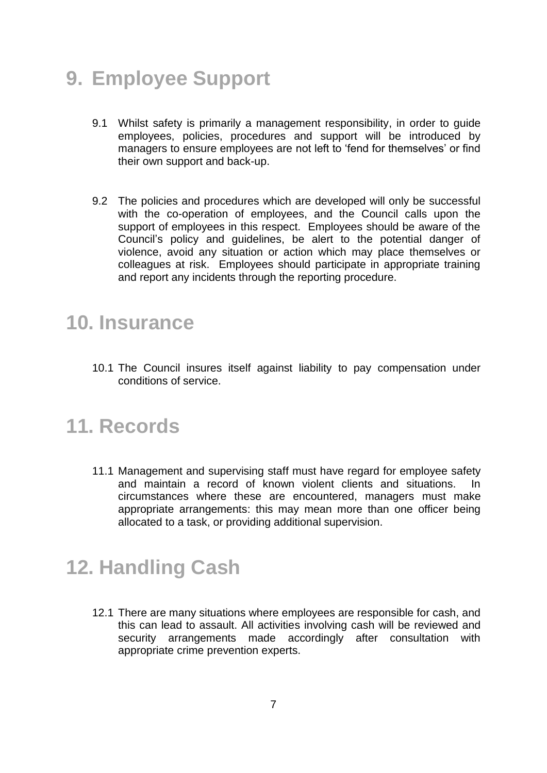## **9. Employee Support**

- 9.1 Whilst safety is primarily a management responsibility, in order to guide employees, policies, procedures and support will be introduced by managers to ensure employees are not left to 'fend for themselves' or find their own support and back-up.
- 9.2 The policies and procedures which are developed will only be successful with the co-operation of employees, and the Council calls upon the support of employees in this respect. Employees should be aware of the Council's policy and guidelines, be alert to the potential danger of violence, avoid any situation or action which may place themselves or colleagues at risk. Employees should participate in appropriate training and report any incidents through the reporting procedure.

#### **10. Insurance**

10.1 The Council insures itself against liability to pay compensation under conditions of service.

#### **11. Records**

11.1 Management and supervising staff must have regard for employee safety and maintain a record of known violent clients and situations. In circumstances where these are encountered, managers must make appropriate arrangements: this may mean more than one officer being allocated to a task, or providing additional supervision.

## **12. Handling Cash**

12.1 There are many situations where employees are responsible for cash, and this can lead to assault. All activities involving cash will be reviewed and security arrangements made accordingly after consultation with appropriate crime prevention experts.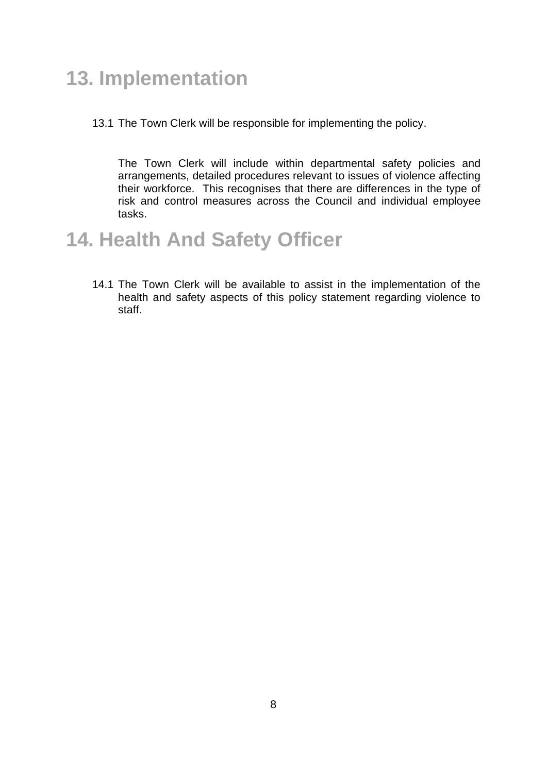## **13. Implementation**

13.1 The Town Clerk will be responsible for implementing the policy.

The Town Clerk will include within departmental safety policies and arrangements, detailed procedures relevant to issues of violence affecting their workforce. This recognises that there are differences in the type of risk and control measures across the Council and individual employee tasks.

#### **14. Health And Safety Officer**

14.1 The Town Clerk will be available to assist in the implementation of the health and safety aspects of this policy statement regarding violence to staff.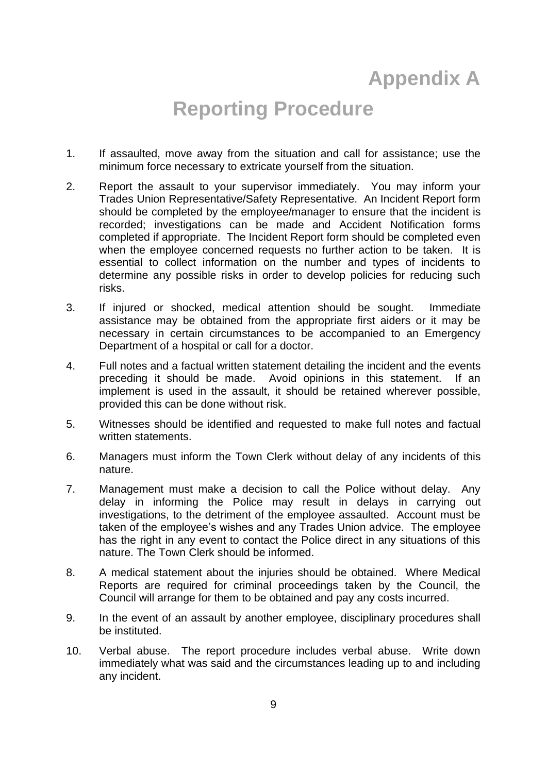## **Appendix A**

#### **Reporting Procedure**

- 1. If assaulted, move away from the situation and call for assistance; use the minimum force necessary to extricate yourself from the situation.
- 2. Report the assault to your supervisor immediately. You may inform your Trades Union Representative/Safety Representative. An Incident Report form should be completed by the employee/manager to ensure that the incident is recorded; investigations can be made and Accident Notification forms completed if appropriate. The Incident Report form should be completed even when the employee concerned requests no further action to be taken. It is essential to collect information on the number and types of incidents to determine any possible risks in order to develop policies for reducing such risks.
- 3. If injured or shocked, medical attention should be sought. Immediate assistance may be obtained from the appropriate first aiders or it may be necessary in certain circumstances to be accompanied to an Emergency Department of a hospital or call for a doctor.
- 4. Full notes and a factual written statement detailing the incident and the events preceding it should be made. Avoid opinions in this statement. If an implement is used in the assault, it should be retained wherever possible, provided this can be done without risk.
- 5. Witnesses should be identified and requested to make full notes and factual written statements.
- 6. Managers must inform the Town Clerk without delay of any incidents of this nature.
- 7. Management must make a decision to call the Police without delay. Any delay in informing the Police may result in delays in carrying out investigations, to the detriment of the employee assaulted. Account must be taken of the employee's wishes and any Trades Union advice. The employee has the right in any event to contact the Police direct in any situations of this nature. The Town Clerk should be informed.
- 8. A medical statement about the injuries should be obtained. Where Medical Reports are required for criminal proceedings taken by the Council, the Council will arrange for them to be obtained and pay any costs incurred.
- 9. In the event of an assault by another employee, disciplinary procedures shall be instituted.
- 10. Verbal abuse. The report procedure includes verbal abuse. Write down immediately what was said and the circumstances leading up to and including any incident.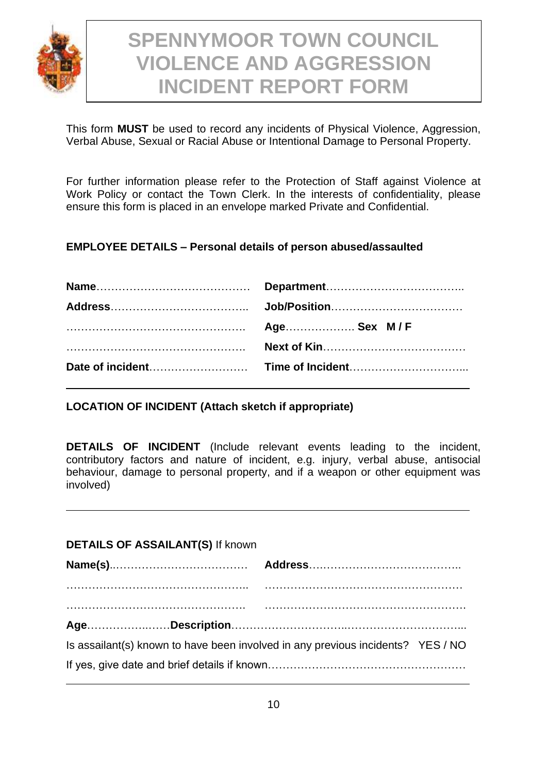

## **SPENNYMOOR TOWN COUNCIL VIOLENCE AND AGGRESSION INCIDENT REPORT FORM**

This form **MUST** be used to record any incidents of Physical Violence, Aggression, Verbal Abuse, Sexual or Racial Abuse or Intentional Damage to Personal Property.

For further information please refer to the Protection of Staff against Violence at Work Policy or contact the Town Clerk. In the interests of confidentiality, please ensure this form is placed in an envelope marked Private and Confidential.

#### **EMPLOYEE DETAILS – Personal details of person abused/assaulted**

**LOCATION OF INCIDENT (Attach sketch if appropriate)**

**DETAILS OF INCIDENT** (Include relevant events leading to the incident, contributory factors and nature of incident, e.g. injury, verbal abuse, antisocial behaviour, damage to personal property, and if a weapon or other equipment was involved)

| <b>DETAILS OF ASSAILANT(S) If known</b>                                       |  |
|-------------------------------------------------------------------------------|--|
|                                                                               |  |
|                                                                               |  |
|                                                                               |  |
| Is assailant(s) known to have been involved in any previous incidents? YES/NO |  |
|                                                                               |  |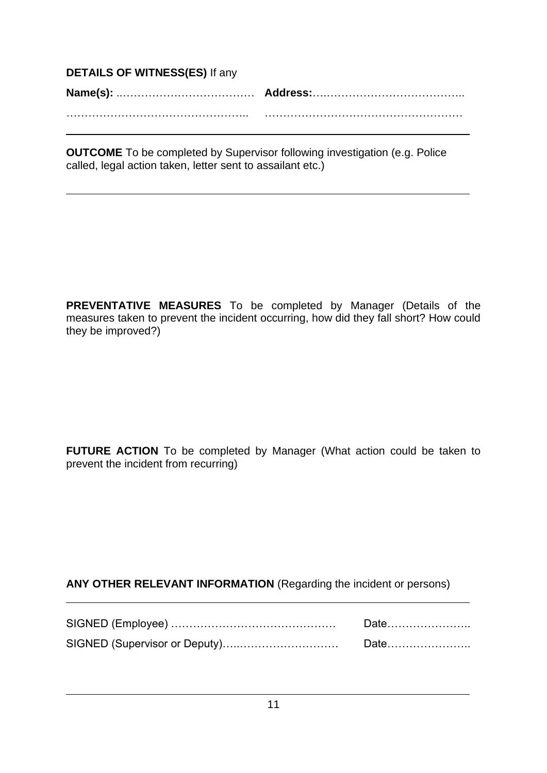| <b>DETAILS OF WITNESS(ES) If any</b> |  |  |  |  |
|--------------------------------------|--|--|--|--|
|                                      |  |  |  |  |
|                                      |  |  |  |  |

**OUTCOME** To be completed by Supervisor following investigation (e.g. Police called, legal action taken, letter sent to assailant etc.)

**PREVENTATIVE MEASURES** To be completed by Manager (Details of the measures taken to prevent the incident occurring, how did they fall short? How could they be improved?)

**FUTURE ACTION** To be completed by Manager (What action could be taken to prevent the incident from recurring)

#### **ANY OTHER RELEVANT INFORMATION** (Regarding the incident or persons)

| Date |
|------|
|      |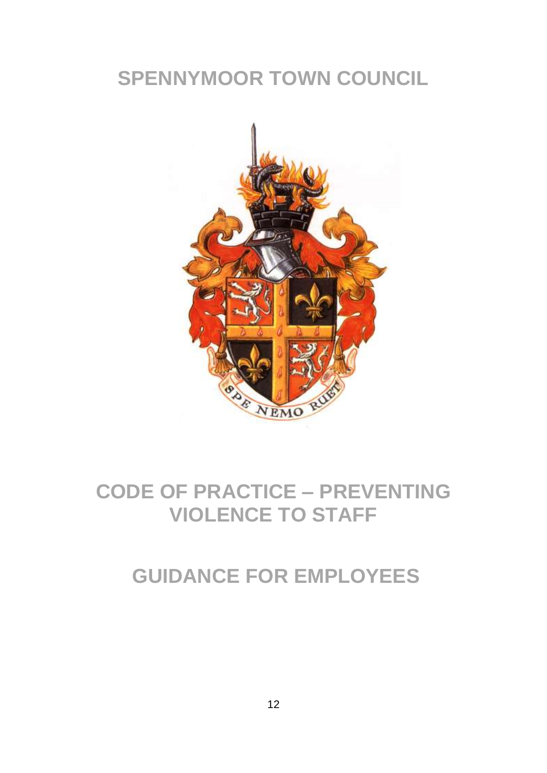## **SPENNYMOOR TOWN COUNCIL**



## **CODE OF PRACTICE – PREVENTING VIOLENCE TO STAFF**

### **GUIDANCE FOR EMPLOYEES**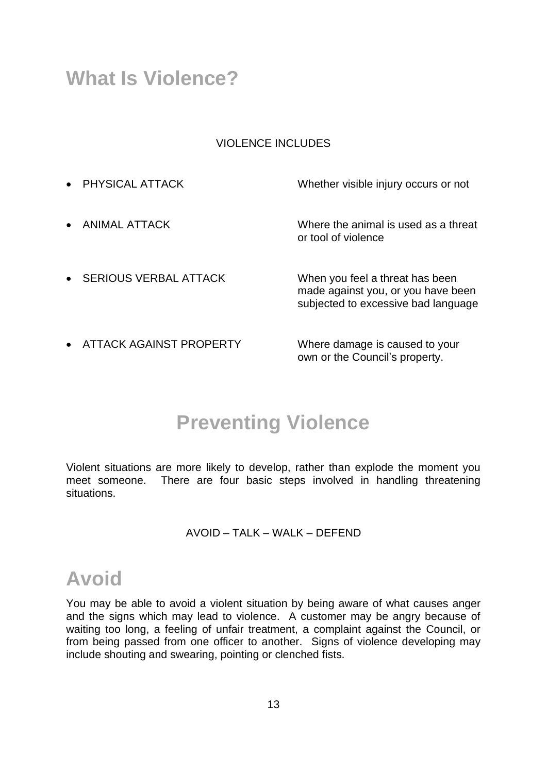#### **What Is Violence?**

#### VIOLENCE INCLUDES

• PHYSICAL ATTACK Whether visible injury occurs or not • ANIMAL ATTACK Where the animal is used as a threat or tool of violence • SERIOUS VERBAL ATTACK When you feel a threat has been made against you, or you have been subjected to excessive bad language • ATTACK AGAINST PROPERTY Where damage is caused to your

## **Preventing Violence**

own or the Council's property.

Violent situations are more likely to develop, rather than explode the moment you meet someone. There are four basic steps involved in handling threatening situations.

#### AVOID – TALK – WALK – DEFEND

#### **Avoid**

You may be able to avoid a violent situation by being aware of what causes anger and the signs which may lead to violence. A customer may be angry because of waiting too long, a feeling of unfair treatment, a complaint against the Council, or from being passed from one officer to another. Signs of violence developing may include shouting and swearing, pointing or clenched fists.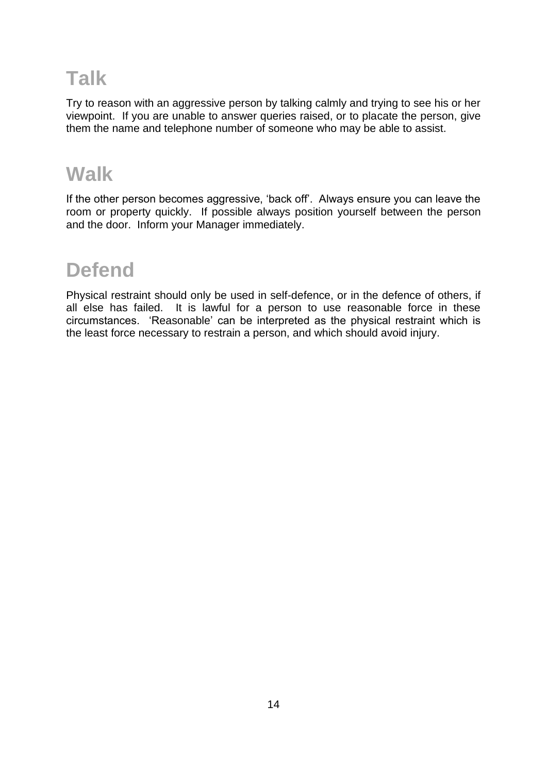## **Talk**

Try to reason with an aggressive person by talking calmly and trying to see his or her viewpoint. If you are unable to answer queries raised, or to placate the person, give them the name and telephone number of someone who may be able to assist.

#### **Walk**

If the other person becomes aggressive, 'back off'. Always ensure you can leave the room or property quickly. If possible always position yourself between the person and the door. Inform your Manager immediately.

## **Defend**

Physical restraint should only be used in self-defence, or in the defence of others, if all else has failed. It is lawful for a person to use reasonable force in these circumstances. 'Reasonable' can be interpreted as the physical restraint which is the least force necessary to restrain a person, and which should avoid injury.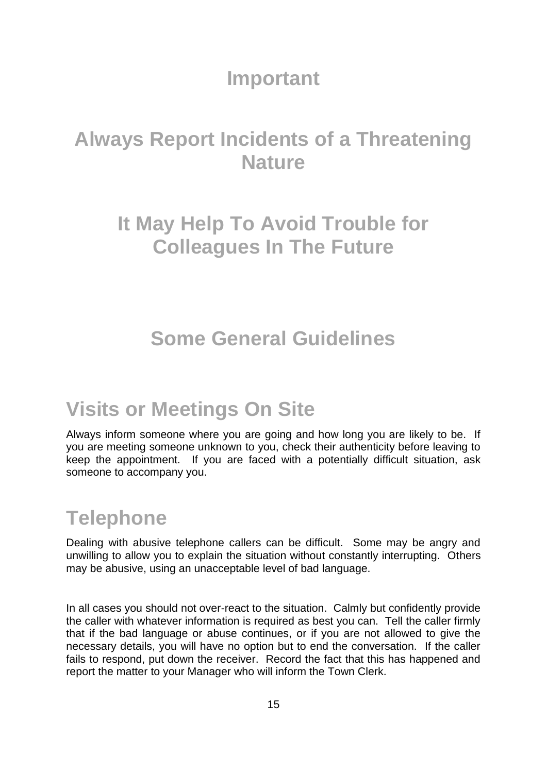#### **Important**

## **Always Report Incidents of a Threatening Nature**

## **It May Help To Avoid Trouble for Colleagues In The Future**

### **Some General Guidelines**

## **Visits or Meetings On Site**

Always inform someone where you are going and how long you are likely to be. If you are meeting someone unknown to you, check their authenticity before leaving to keep the appointment. If you are faced with a potentially difficult situation, ask someone to accompany you.

## **Telephone**

Dealing with abusive telephone callers can be difficult. Some may be angry and unwilling to allow you to explain the situation without constantly interrupting. Others may be abusive, using an unacceptable level of bad language.

In all cases you should not over-react to the situation. Calmly but confidently provide the caller with whatever information is required as best you can. Tell the caller firmly that if the bad language or abuse continues, or if you are not allowed to give the necessary details, you will have no option but to end the conversation. If the caller fails to respond, put down the receiver. Record the fact that this has happened and report the matter to your Manager who will inform the Town Clerk.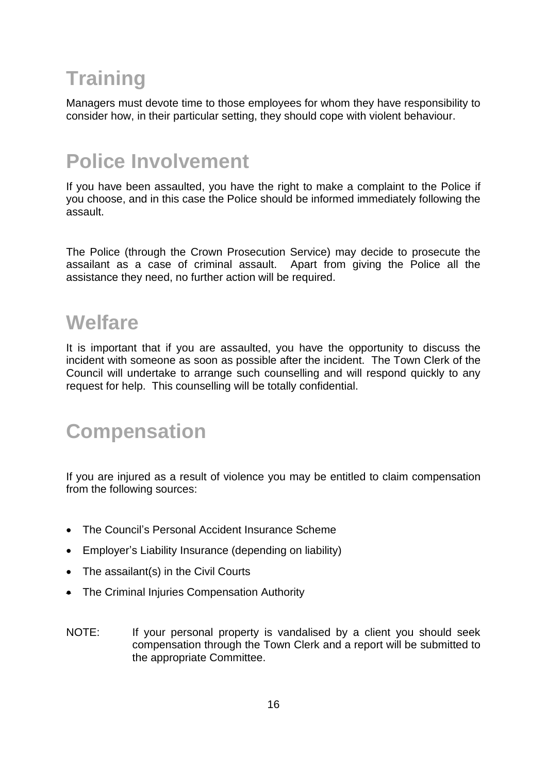# **Training**

Managers must devote time to those employees for whom they have responsibility to consider how, in their particular setting, they should cope with violent behaviour.

## **Police Involvement**

If you have been assaulted, you have the right to make a complaint to the Police if you choose, and in this case the Police should be informed immediately following the assault.

The Police (through the Crown Prosecution Service) may decide to prosecute the assailant as a case of criminal assault. Apart from giving the Police all the assistance they need, no further action will be required.

### **Welfare**

It is important that if you are assaulted, you have the opportunity to discuss the incident with someone as soon as possible after the incident. The Town Clerk of the Council will undertake to arrange such counselling and will respond quickly to any request for help. This counselling will be totally confidential.

## **Compensation**

If you are injured as a result of violence you may be entitled to claim compensation from the following sources:

- The Council's Personal Accident Insurance Scheme
- Employer's Liability Insurance (depending on liability)
- The assailant(s) in the Civil Courts
- The Criminal Injuries Compensation Authority
- NOTE: If your personal property is vandalised by a client you should seek compensation through the Town Clerk and a report will be submitted to the appropriate Committee.